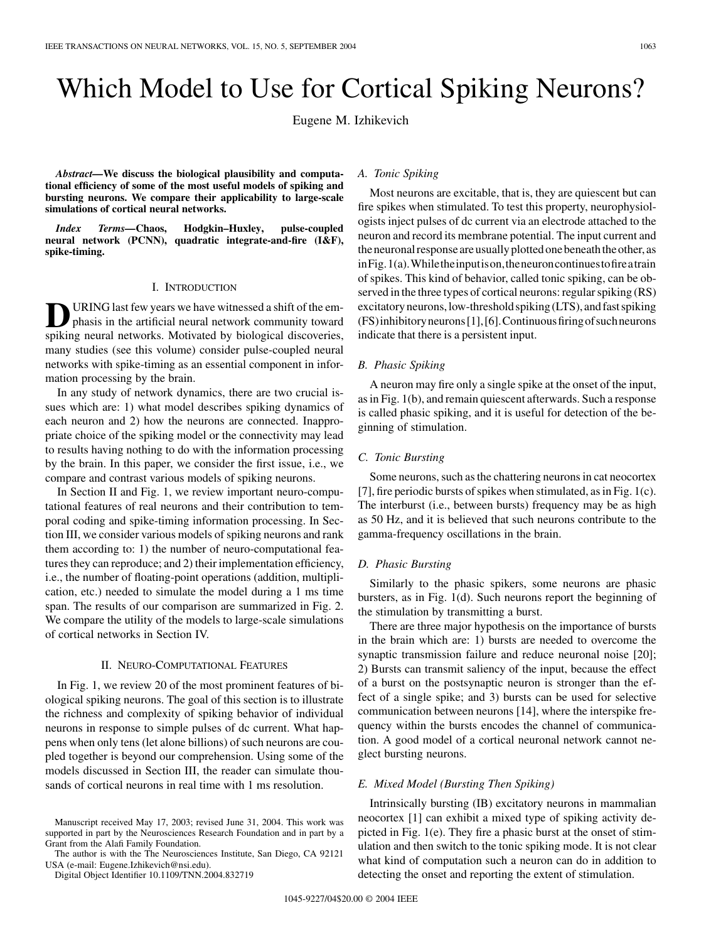# Which Model to Use for Cortical Spiking Neurons?

Eugene M. Izhikevich

*Abstract—***We discuss the biological plausibility and computational efficiency of some of the most useful models of spiking and bursting neurons. We compare their applicability to large-scale simulations of cortical neural networks.**

*Index Terms—***Chaos, Hodgkin–Huxley, pulse-coupled neural network (PCNN), quadratic integrate-and-fire (I&F), spike-timing.**

## I. INTRODUCTION

URING last few years we have witnessed a shift of the emphasis in the artificial neural network community toward spiking neural networks. Motivated by biological discoveries, many studies (see this volume) consider pulse-coupled neural networks with spike-timing as an essential component in information processing by the brain.

In any study of network dynamics, there are two crucial issues which are: 1) what model describes spiking dynamics of each neuron and 2) how the neurons are connected. Inappropriate choice of the spiking model or the connectivity may lead to results having nothing to do with the information processing by the brain. In this paper, we consider the first issue, i.e., we compare and contrast various models of spiking neurons.

In Section II and Fig. 1, we review important neuro-computational features of real neurons and their contribution to temporal coding and spike-timing information processing. In Section III, we consider various models of spiking neurons and rank them according to: 1) the number of neuro-computational features they can reproduce; and 2) their implementation efficiency, i.e., the number of floating-point operations (addition, multiplication, etc.) needed to simulate the model during a 1 ms time span. The results of our comparison are summarized in Fig. 2. We compare the utility of the models to large-scale simulations of cortical networks in Section IV.

## II. NEURO-COMPUTATIONAL FEATURES

In Fig. 1, we review 20 of the most prominent features of biological spiking neurons. The goal of this section is to illustrate the richness and complexity of spiking behavior of individual neurons in response to simple pulses of dc current. What happens when only tens (let alone billions) of such neurons are coupled together is beyond our comprehension. Using some of the models discussed in Section III, the reader can simulate thousands of cortical neurons in real time with 1 ms resolution.

The author is with the The Neurosciences Institute, San Diego, CA 92121 USA (e-mail: Eugene.Izhikevich@nsi.edu).

Digital Object Identifier 10.1109/TNN.2004.832719

## *A. Tonic Spiking*

Most neurons are excitable, that is, they are quiescent but can fire spikes when stimulated. To test this property, neurophysiologists inject pulses of dc current via an electrode attached to the neuron and record its membrane potential. The input current and the neuronal response are usually plotted one beneath the other, as inFig.1(a).Whiletheinputison,theneuroncontinuestofireatrain of spikes. This kind of behavior, called tonic spiking, can be observed in the three types of cortical neurons: regular spiking (RS) excitatory neurons, low-threshold spiking (LTS), and fast spiking (FS)inhibitoryneurons[[1\]](#page-6-0),[[6\]](#page-6-0).Continuousfiringofsuchneurons indicate that there is a persistent input.

## *B. Phasic Spiking*

A neuron may fire only a single spike at the onset of the input, asin Fig. 1(b), and remain quiescent afterwards. Such a response is called phasic spiking, and it is useful for detection of the beginning of stimulation.

## *C. Tonic Bursting*

Some neurons, such as the chattering neurons in cat neocortex [\[7](#page-6-0)], fire periodic bursts of spikes when stimulated, as in Fig.  $1(c)$ . The interburst (i.e., between bursts) frequency may be as high as 50 Hz, and it is believed that such neurons contribute to the gamma-frequency oscillations in the brain.

## *D. Phasic Bursting*

Similarly to the phasic spikers, some neurons are phasic bursters, as in Fig. 1(d). Such neurons report the beginning of the stimulation by transmitting a burst.

There are three major hypothesis on the importance of bursts in the brain which are: 1) bursts are needed to overcome the synaptic transmission failure and reduce neuronal noise [\[20](#page-7-0)]; 2) Bursts can transmit saliency of the input, because the effect of a burst on the postsynaptic neuron is stronger than the effect of a single spike; and 3) bursts can be used for selective communication between neurons [[14\]](#page-6-0), where the interspike frequency within the bursts encodes the channel of communication. A good model of a cortical neuronal network cannot neglect bursting neurons.

## *E. Mixed Model (Bursting Then Spiking)*

Intrinsically bursting (IB) excitatory neurons in mammalian neocortex [[1\]](#page-6-0) can exhibit a mixed type of spiking activity depicted in Fig. 1(e). They fire a phasic burst at the onset of stimulation and then switch to the tonic spiking mode. It is not clear what kind of computation such a neuron can do in addition to detecting the onset and reporting the extent of stimulation.

Manuscript received May 17, 2003; revised June 31, 2004. This work was supported in part by the Neurosciences Research Foundation and in part by a Grant from the Alafi Family Foundation.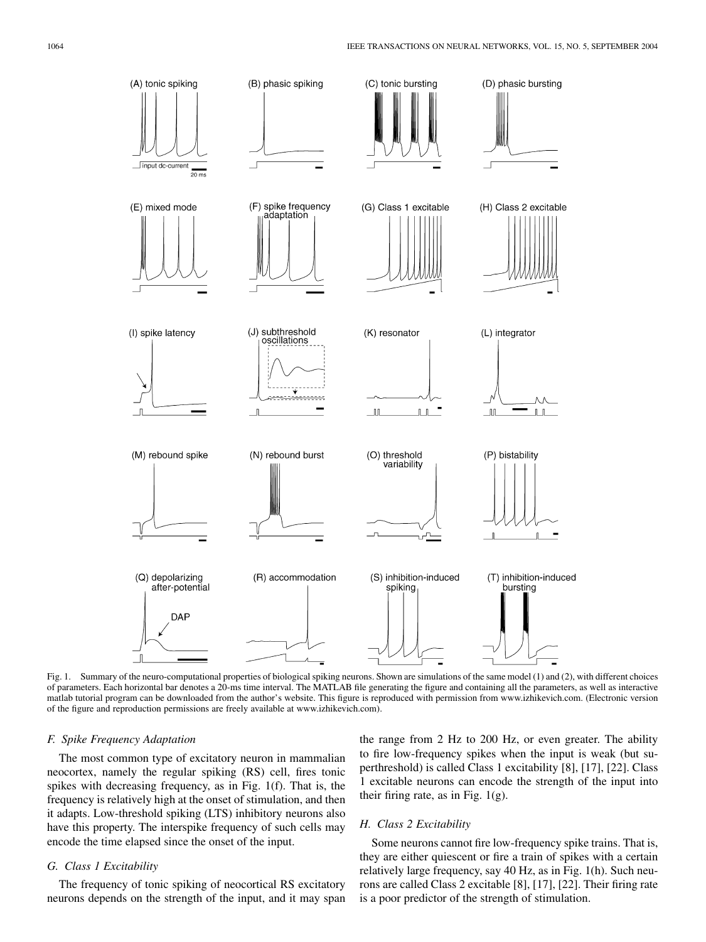

Fig. 1. Summary of the neuro-computational properties of biological spiking neurons. Shown are simulations of the same model (1) and (2), with different choices of parameters. Each horizontal bar denotes a 20-ms time interval. The MATLAB file generating the figure and containing all the parameters, as well as interactive matlab tutorial program can be downloaded from the author's website. This figure is reproduced with permission from www.izhikevich.com. (Electronic version of the figure and reproduction permissions are freely available at www.izhikevich.com).

#### *F. Spike Frequency Adaptation*

The most common type of excitatory neuron in mammalian neocortex, namely the regular spiking (RS) cell, fires tonic spikes with decreasing frequency, as in Fig. 1(f). That is, the frequency is relatively high at the onset of stimulation, and then it adapts. Low-threshold spiking (LTS) inhibitory neurons also have this property. The interspike frequency of such cells may encode the time elapsed since the onset of the input.

#### *G. Class 1 Excitability*

The frequency of tonic spiking of neocortical RS excitatory neurons depends on the strength of the input, and it may span

the range from 2 Hz to 200 Hz, or even greater. The ability to fire low-frequency spikes when the input is weak (but superthreshold) is called Class 1 excitability [[8\]](#page-6-0), [\[17](#page-6-0)], [[22\]](#page-7-0). Class 1 excitable neurons can encode the strength of the input into their firing rate, as in Fig.  $1(g)$ .

## *H. Class 2 Excitability*

Some neurons cannot fire low-frequency spike trains. That is, they are either quiescent or fire a train of spikes with a certain relatively large frequency, say 40 Hz, as in Fig. 1(h). Such neurons are called Class 2 excitable [\[8](#page-6-0)], [[17\]](#page-6-0), [[22\]](#page-7-0). Their firing rate is a poor predictor of the strength of stimulation.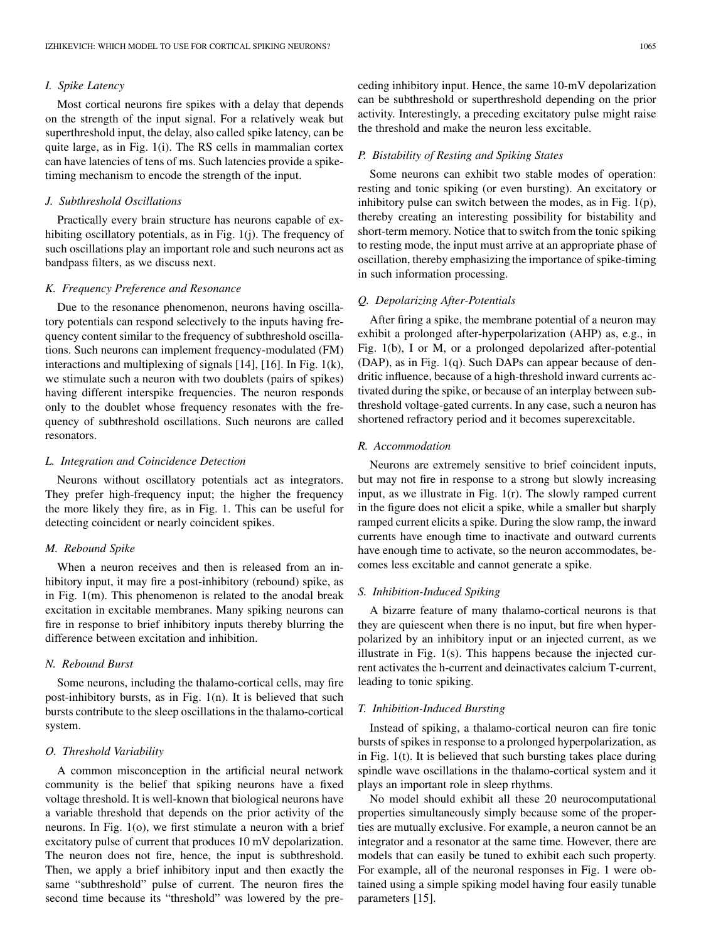## *I. Spike Latency*

Most cortical neurons fire spikes with a delay that depends on the strength of the input signal. For a relatively weak but superthreshold input, the delay, also called spike latency, can be quite large, as in Fig. 1(i). The RS cells in mammalian cortex can have latencies of tens of ms. Such latencies provide a spiketiming mechanism to encode the strength of the input.

## *J. Subthreshold Oscillations*

Practically every brain structure has neurons capable of exhibiting oscillatory potentials, as in Fig. 1(j). The frequency of such oscillations play an important role and such neurons act as bandpass filters, as we discuss next.

## *K. Frequency Preference and Resonance*

Due to the resonance phenomenon, neurons having oscillatory potentials can respond selectively to the inputs having frequency content similar to the frequency of subthreshold oscillations. Such neurons can implement frequency-modulated (FM) interactions and multiplexing of signals [\[14](#page-6-0)], [[16\]](#page-6-0). In Fig. 1(k), we stimulate such a neuron with two doublets (pairs of spikes) having different interspike frequencies. The neuron responds only to the doublet whose frequency resonates with the frequency of subthreshold oscillations. Such neurons are called resonators.

#### *L. Integration and Coincidence Detection*

Neurons without oscillatory potentials act as integrators. They prefer high-frequency input; the higher the frequency the more likely they fire, as in Fig. 1. This can be useful for detecting coincident or nearly coincident spikes.

#### *M. Rebound Spike*

When a neuron receives and then is released from an inhibitory input, it may fire a post-inhibitory (rebound) spike, as in Fig. 1(m). This phenomenon is related to the anodal break excitation in excitable membranes. Many spiking neurons can fire in response to brief inhibitory inputs thereby blurring the difference between excitation and inhibition.

#### *N. Rebound Burst*

Some neurons, including the thalamo-cortical cells, may fire post-inhibitory bursts, as in Fig. 1(n). It is believed that such bursts contribute to the sleep oscillations in the thalamo-cortical system.

#### *O. Threshold Variability*

A common misconception in the artificial neural network community is the belief that spiking neurons have a fixed voltage threshold. It is well-known that biological neurons have a variable threshold that depends on the prior activity of the neurons. In Fig. 1(o), we first stimulate a neuron with a brief excitatory pulse of current that produces 10 mV depolarization. The neuron does not fire, hence, the input is subthreshold. Then, we apply a brief inhibitory input and then exactly the same "subthreshold" pulse of current. The neuron fires the second time because its "threshold" was lowered by the preceding inhibitory input. Hence, the same 10-mV depolarization can be subthreshold or superthreshold depending on the prior activity. Interestingly, a preceding excitatory pulse might raise the threshold and make the neuron less excitable.

## *P. Bistability of Resting and Spiking States*

Some neurons can exhibit two stable modes of operation: resting and tonic spiking (or even bursting). An excitatory or inhibitory pulse can switch between the modes, as in Fig. 1(p), thereby creating an interesting possibility for bistability and short-term memory. Notice that to switch from the tonic spiking to resting mode, the input must arrive at an appropriate phase of oscillation, thereby emphasizing the importance of spike-timing in such information processing.

#### *Q. Depolarizing After-Potentials*

After firing a spike, the membrane potential of a neuron may exhibit a prolonged after-hyperpolarization (AHP) as, e.g., in Fig. 1(b), I or M, or a prolonged depolarized after-potential (DAP), as in Fig. 1(q). Such DAPs can appear because of dendritic influence, because of a high-threshold inward currents activated during the spike, or because of an interplay between subthreshold voltage-gated currents. In any case, such a neuron has shortened refractory period and it becomes superexcitable.

## *R. Accommodation*

Neurons are extremely sensitive to brief coincident inputs, but may not fire in response to a strong but slowly increasing input, as we illustrate in Fig. 1(r). The slowly ramped current in the figure does not elicit a spike, while a smaller but sharply ramped current elicits a spike. During the slow ramp, the inward currents have enough time to inactivate and outward currents have enough time to activate, so the neuron accommodates, becomes less excitable and cannot generate a spike.

## *S. Inhibition-Induced Spiking*

A bizarre feature of many thalamo-cortical neurons is that they are quiescent when there is no input, but fire when hyperpolarized by an inhibitory input or an injected current, as we illustrate in Fig. 1(s). This happens because the injected current activates the h-current and deinactivates calcium T-current, leading to tonic spiking.

## *T. Inhibition-Induced Bursting*

Instead of spiking, a thalamo-cortical neuron can fire tonic bursts of spikes in response to a prolonged hyperpolarization, as in Fig. 1(t). It is believed that such bursting takes place during spindle wave oscillations in the thalamo-cortical system and it plays an important role in sleep rhythms.

No model should exhibit all these 20 neurocomputational properties simultaneously simply because some of the properties are mutually exclusive. For example, a neuron cannot be an integrator and a resonator at the same time. However, there are models that can easily be tuned to exhibit each such property. For example, all of the neuronal responses in Fig. 1 were obtained using a simple spiking model having four easily tunable parameters [\[15](#page-6-0)].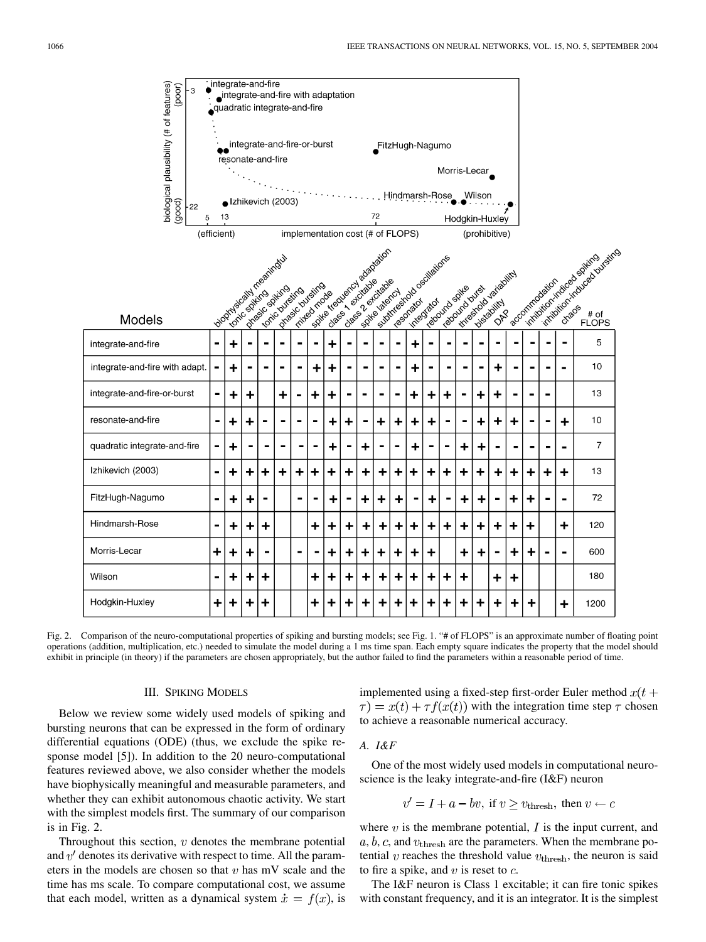

Fig. 2. Comparison of the neuro-computational properties of spiking and bursting models; see Fig. 1. "# of FLOPS" is an approximate number of floating point operations (addition, multiplication, etc.) needed to simulate the model during a 1 ms time span. Each empty square indicates the property that the model should exhibit in principle (in theory) if the parameters are chosen appropriately, but the author failed to find the parameters within a reasonable period of time.

## III. SPIKING MODELS

Below we review some widely used models of spiking and bursting neurons that can be expressed in the form of ordinary differential equations (ODE) (thus, we exclude the spike response model [[5\]](#page-6-0)). In addition to the 20 neuro-computational features reviewed above, we also consider whether the models have biophysically meaningful and measurable parameters, and whether they can exhibit autonomous chaotic activity. We start with the simplest models first. The summary of our comparison is in Fig. 2.

Throughout this section,  $v$  denotes the membrane potential and  $v'$  denotes its derivative with respect to time. All the parameters in the models are chosen so that  $v$  has mV scale and the time has ms scale. To compare computational cost, we assume that each model, written as a dynamical system  $\dot{x} = f(x)$ , is

implemented using a fixed-step first-order Euler method  $x(t +$  $\tau(x) = x(t) + \tau f(x(t))$  with the integration time step  $\tau$  chosen to achieve a reasonable numerical accuracy.

## *A. I&F*

One of the most widely used models in computational neuroscience is the leaky integrate-and-fire (I&F) neuron

$$
v' = I + a - bv
$$
, if  $v \ge v_{\text{thresh}}$ , then  $v \leftarrow c$ 

where  $v$  is the membrane potential,  $I$  is the input current, and  $a, b, c$ , and  $v_{\text{thresh}}$  are the parameters. When the membrane potential  $v$  reaches the threshold value  $v_{\text{thresh}}$ , the neuron is said to fire a spike, and  $v$  is reset to  $c$ .

The I&F neuron is Class 1 excitable; it can fire tonic spikes with constant frequency, and it is an integrator. It is the simplest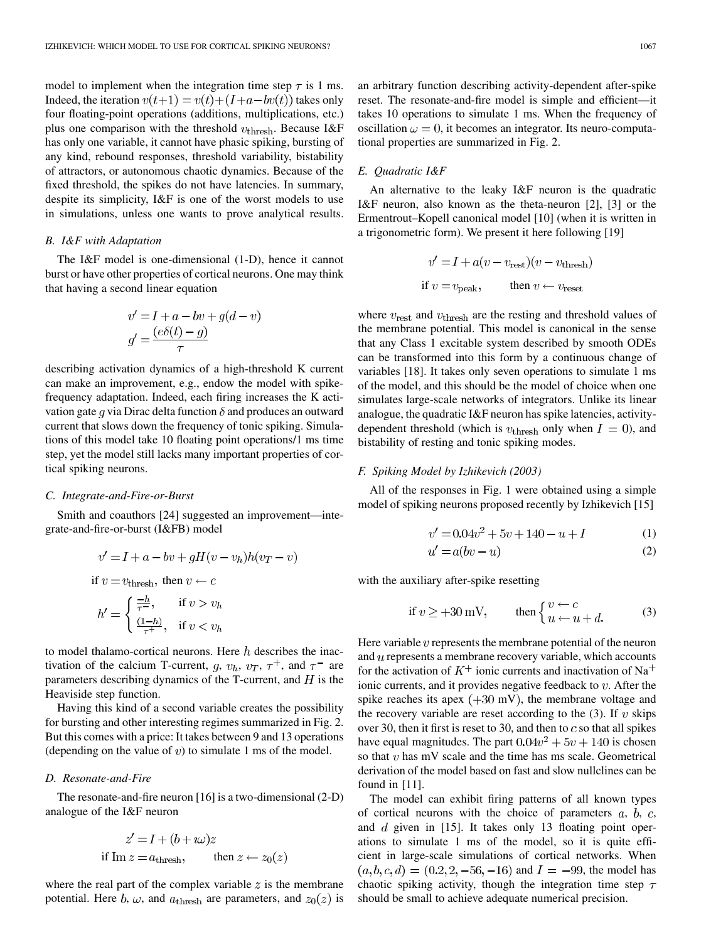model to implement when the integration time step  $\tau$  is 1 ms. Indeed, the iteration  $v(t+1) = v(t)+(I+a-bv(t))$  takes only four floating-point operations (additions, multiplications, etc.) plus one comparison with the threshold  $v_{\text{thresh}}$ . Because I&F has only one variable, it cannot have phasic spiking, bursting of any kind, rebound responses, threshold variability, bistability of attractors, or autonomous chaotic dynamics. Because of the fixed threshold, the spikes do not have latencies. In summary, despite its simplicity, I&F is one of the worst models to use in simulations, unless one wants to prove analytical results.

### *B. I&F with Adaptation*

The I&F model is one-dimensional (1-D), hence it cannot burst or have other properties of cortical neurons. One may think that having a second linear equation

$$
v' = I + a - bv + g(d - v)
$$

$$
g' = \frac{(e\delta(t) - g)}{\tau}
$$

describing activation dynamics of a high-threshold K current can make an improvement, e.g., endow the model with spikefrequency adaptation. Indeed, each firing increases the K activation gate g via Dirac delta function  $\delta$  and produces an outward current that slows down the frequency of tonic spiking. Simulations of this model take 10 floating point operations/1 ms time step, yet the model still lacks many important properties of cortical spiking neurons.

## *C. Integrate-and-Fire-or-Burst*

Smith and coauthors [\[24](#page-7-0)] suggested an improvement—integrate-and-fire-or-burst (I&FB) model

$$
v' = I + a - bv + gH(v - v_h)h(v_T - v)
$$
  
if  $v = v_{\text{thresh}}$ , then  $v \leftarrow c$ 

$$
h' = \begin{cases} \frac{-h}{\tau -}, & \text{if } v > v_h\\ \frac{(1-h)}{\tau +}, & \text{if } v < v_h \end{cases}
$$

to model thalamo-cortical neurons. Here  $h$  describes the inactivation of the calcium T-current,  $q, v_h, v_T, \tau^+$ , and  $\tau^-$  are parameters describing dynamics of the T-current, and  $H$  is the Heaviside step function.

Having this kind of a second variable creates the possibility for bursting and other interesting regimes summarized in Fig. 2. But this comes with a price: It takes between 9 and 13 operations (depending on the value of  $v$ ) to simulate 1 ms of the model.

#### *D. Resonate-and-Fire*

The resonate-and-fire neuron [[16\]](#page-6-0) is a two-dimensional (2-D) analogue of the I&F neuron

$$
z' = I + (b + i\omega)z
$$
  
if Im  $z = a_{\text{thresh}}$ , then  $z \leftarrow z_0(z)$ 

where the real part of the complex variable  $z$  is the membrane potential. Here b,  $\omega$ , and  $a_{\text{thresh}}$  are parameters, and  $z_0(z)$  is an arbitrary function describing activity-dependent after-spike reset. The resonate-and-fire model is simple and efficient—it takes 10 operations to simulate 1 ms. When the frequency of oscillation  $\omega = 0$ , it becomes an integrator. Its neuro-computational properties are summarized in Fig. 2.

## *E. Quadratic I&F*

An alternative to the leaky I&F neuron is the quadratic I&F neuron, also known as the theta-neuron [[2\]](#page-6-0), [[3](#page-6-0)] or the Ermentrout–Kopell canonical model [[10\]](#page-6-0) (when it is written in a trigonometric form). We present it here following [[19\]](#page-6-0)

$$
v' = I + a(v - v_{\text{rest}})(v - v_{\text{thresh}})
$$
  
if  $v = v_{\text{peak}}$ , then  $v \leftarrow v_{\text{reset}}$ 

where  $v_{\text{rest}}$  and  $v_{\text{thresh}}$  are the resting and threshold values of the membrane potential. This model is canonical in the sense that any Class 1 excitable system described by smooth ODEs can be transformed into this form by a continuous change of variables [\[18](#page-6-0)]. It takes only seven operations to simulate 1 ms of the model, and this should be the model of choice when one simulates large-scale networks of integrators. Unlike its linear analogue, the quadratic  $I\&F$  neuron has spike latencies, activitydependent threshold (which is  $v_{\text{thresh}}$  only when  $I = 0$ ), and bistability of resting and tonic spiking modes.

## *F. Spiking Model by Izhikevich (2003)*

All of the responses in Fig. 1 were obtained using a simple model of spiking neurons proposed recently by Izhikevich [[15\]](#page-6-0)

$$
v' = 0.04v^2 + 5v + 140 - u + I \tag{1}
$$

$$
= a(bv - u) \tag{2}
$$

with the auxiliary after-spike resetting

 $u'$ 

if 
$$
v \ge +30
$$
 mV, then 
$$
\begin{cases} v \leftarrow c \\ u \leftarrow u + d. \end{cases}
$$
 (3)

Here variable  $v$  represents the membrane potential of the neuron and  $u$  represents a membrane recovery variable, which accounts for the activation of  $K^+$  ionic currents and inactivation of Na<sup>+</sup> ionic currents, and it provides negative feedback to  $v$ . After the spike reaches its apex  $(+30 \text{ mV})$ , the membrane voltage and the recovery variable are reset according to the  $(3)$ . If v skips over 30, then it first is reset to 30, and then to  $c$  so that all spikes have equal magnitudes. The part  $0.04v^2 + 5v + 140$  is chosen so that  $v$  has mV scale and the time has ms scale. Geometrical derivation of the model based on fast and slow nullclines can be found in [\[11](#page-6-0)].

The model can exhibit firing patterns of all known types of cortical neurons with the choice of parameters  $a, b, c$ , and  $d$  given in [\[15](#page-6-0)]. It takes only 13 floating point operations to simulate 1 ms of the model, so it is quite efficient in large-scale simulations of cortical networks. When  $(a, b, c, d) = (0.2, 2, -56, -16)$  and  $I = -99$ , the model has chaotic spiking activity, though the integration time step  $\tau$ should be small to achieve adequate numerical precision.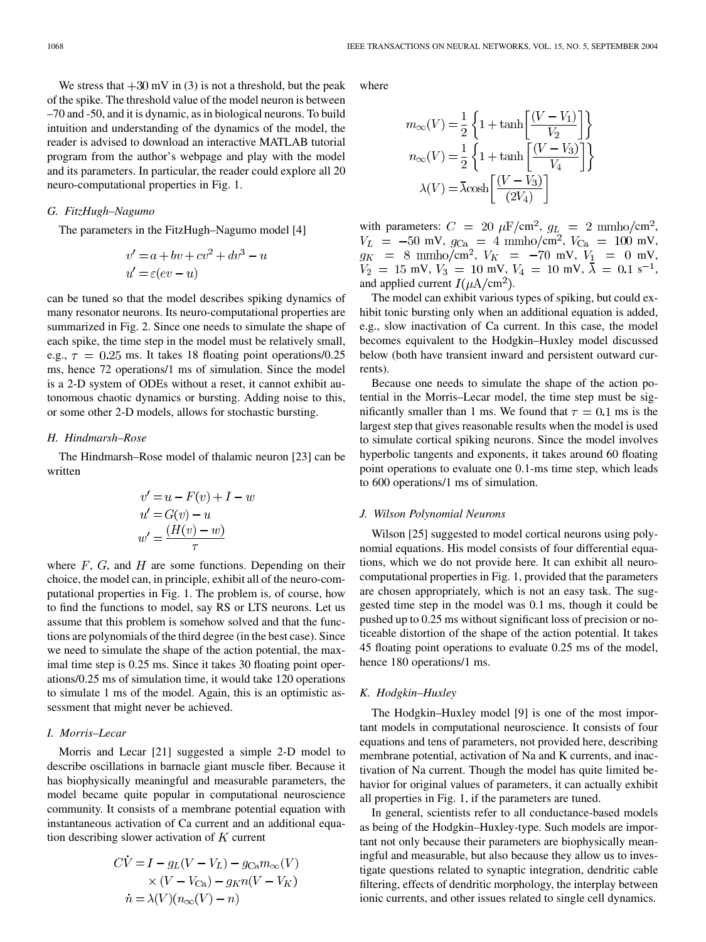We stress that  $+30$  mV in (3) is not a threshold, but the peak of the spike. The threshold value of the model neuron is between –70 and -50, and it is dynamic, asin biological neurons. To build intuition and understanding of the dynamics of the model, the reader is advised to download an interactive MATLAB tutorial program from the author's webpage and play with the model and its parameters. In particular, the reader could explore all 20 neuro-computational properties in Fig. 1.

#### *G. FitzHugh–Nagumo*

The parameters in the FitzHugh–Nagumo model [\[4](#page-6-0)]

$$
v' = a + bv + cv^{2} + dv^{3} - u
$$
  

$$
u' = \varepsilon (ev - u)
$$

can be tuned so that the model describes spiking dynamics of many resonator neurons. Its neuro-computational properties are summarized in Fig. 2. Since one needs to simulate the shape of each spike, the time step in the model must be relatively small, e.g.,  $\tau = 0.25$  ms. It takes 18 floating point operations/0.25 ms, hence 72 operations/1 ms of simulation. Since the model is a 2-D system of ODEs without a reset, it cannot exhibit autonomous chaotic dynamics or bursting. Adding noise to this, or some other 2-D models, allows for stochastic bursting.

## *H. Hindmarsh–Rose*

The Hindmarsh–Rose model of thalamic neuron [[23\]](#page-7-0) can be written

$$
v' = u - F(v) + I - w
$$

$$
u' = G(v) - u
$$

$$
w' = \frac{(H(v) - w)}{\tau}
$$

where  $F$ ,  $G$ , and  $H$  are some functions. Depending on their choice, the model can, in principle, exhibit all of the neuro-computational properties in Fig. 1. The problem is, of course, how to find the functions to model, say RS or LTS neurons. Let us assume that this problem is somehow solved and that the functions are polynomials of the third degree (in the best case). Since we need to simulate the shape of the action potential, the maximal time step is 0.25 ms. Since it takes 30 floating point operations/0.25 ms of simulation time, it would take 120 operations to simulate 1 ms of the model. Again, this is an optimistic assessment that might never be achieved.

## *I. Morris–Lecar*

Morris and Lecar [\[21](#page-7-0)] suggested a simple 2-D model to describe oscillations in barnacle giant muscle fiber. Because it has biophysically meaningful and measurable parameters, the model became quite popular in computational neuroscience community. It consists of a membrane potential equation with instantaneous activation of Ca current and an additional equation describing slower activation of  $K$  current

$$
CV = I - gL(V - VL) - gCam\infty(V)
$$
  
× (V - V<sub>Ca</sub>) - g<sub>K</sub>n(V - V<sub>K</sub>)  

$$
\dot{n} = \lambda(V)(n_{\infty}(V) - n)
$$

where

$$
m_{\infty}(V) = \frac{1}{2} \left\{ 1 + \tanh\left[\frac{(V - V_1)}{V_2}\right] \right\}
$$

$$
n_{\infty}(V) = \frac{1}{2} \left\{ 1 + \tanh\left[\frac{(V - V_3)}{V_4}\right] \right\}
$$

$$
\lambda(V) = \bar{\lambda}\cosh\left[\frac{(V - V_3)}{(2V_4)}\right]
$$

with parameters:  $C = 20 \mu \text{F/cm}^2$ ,  $g_L = 2 \text{ mmho/cm}^2$ ,  $V_L$  = -50 mV,  $g_{Ca}$  = 4 mmho/cm<sup>2</sup>,  $V_{Ca}$  = 100 mV, cm<sup>2</sup>,  $V_K$  = -70 mV,  $V_1$  = 0 mV, mV,  $V_3 = 10$  mV,  $V_4 = 10$  mV,  $\overline{\lambda} = 0.1$  s<sup>-1</sup>, and applied current  $I(\mu A/cm^2)$ .

The model can exhibit various types of spiking, but could exhibit tonic bursting only when an additional equation is added, e.g., slow inactivation of Ca current. In this case, the model becomes equivalent to the Hodgkin–Huxley model discussed below (both have transient inward and persistent outward currents).

Because one needs to simulate the shape of the action potential in the Morris–Lecar model, the time step must be significantly smaller than 1 ms. We found that  $\tau = 0.1$  ms is the largest step that gives reasonable results when the model is used to simulate cortical spiking neurons. Since the model involves hyperbolic tangents and exponents, it takes around 60 floating point operations to evaluate one 0.1-ms time step, which leads to 600 operations/1 ms of simulation.

#### *J. Wilson Polynomial Neurons*

Wilson [[25\]](#page-7-0) suggested to model cortical neurons using polynomial equations. His model consists of four differential equations, which we do not provide here. It can exhibit all neurocomputational properties in Fig. 1, provided that the parameters are chosen appropriately, which is not an easy task. The suggested time step in the model was 0.1 ms, though it could be pushed up to 0.25 ms without significant loss of precision or noticeable distortion of the shape of the action potential. It takes 45 floating point operations to evaluate 0.25 ms of the model, hence 180 operations/1 ms.

## *K. Hodgkin–Huxley*

The Hodgkin–Huxley model [\[9](#page-6-0)] is one of the most important models in computational neuroscience. It consists of four equations and tens of parameters, not provided here, describing membrane potential, activation of Na and K currents, and inactivation of Na current. Though the model has quite limited behavior for original values of parameters, it can actually exhibit all properties in Fig. 1, if the parameters are tuned.

In general, scientists refer to all conductance-based models as being of the Hodgkin–Huxley-type. Such models are important not only because their parameters are biophysically meaningful and measurable, but also because they allow us to investigate questions related to synaptic integration, dendritic cable filtering, effects of dendritic morphology, the interplay between ionic currents, and other issues related to single cell dynamics.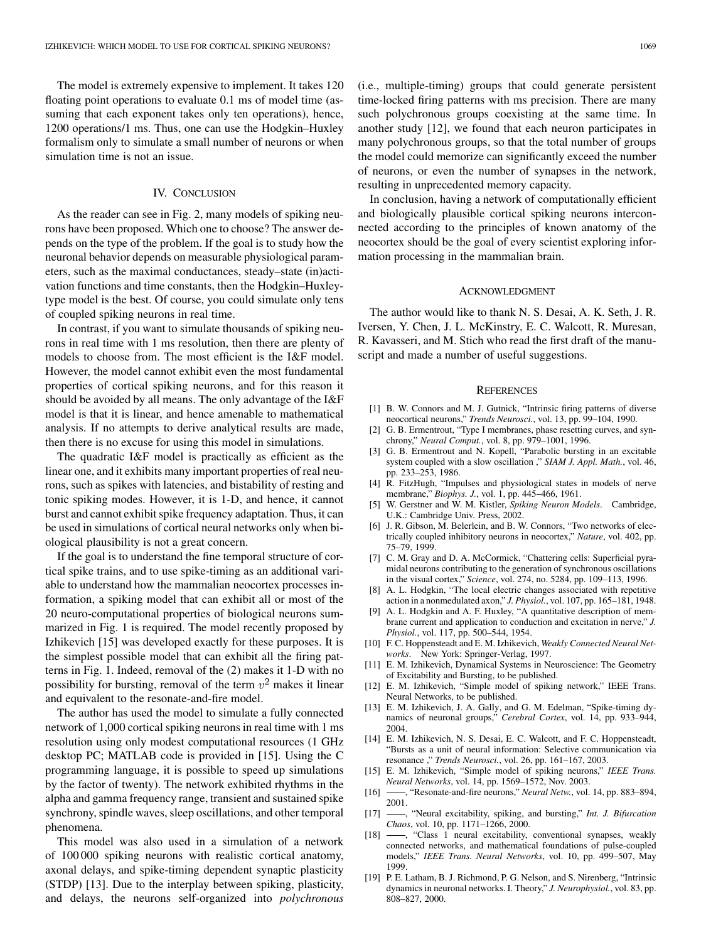<span id="page-6-0"></span>The model is extremely expensive to implement. It takes 120 floating point operations to evaluate 0.1 ms of model time (assuming that each exponent takes only ten operations), hence, 1200 operations/1 ms. Thus, one can use the Hodgkin–Huxley formalism only to simulate a small number of neurons or when simulation time is not an issue.

## IV. CONCLUSION

As the reader can see in Fig. 2, many models of spiking neurons have been proposed. Which one to choose? The answer depends on the type of the problem. If the goal is to study how the neuronal behavior depends on measurable physiological parameters, such as the maximal conductances, steady–state (in)activation functions and time constants, then the Hodgkin–Huxleytype model is the best. Of course, you could simulate only tens of coupled spiking neurons in real time.

In contrast, if you want to simulate thousands of spiking neurons in real time with 1 ms resolution, then there are plenty of models to choose from. The most efficient is the I&F model. However, the model cannot exhibit even the most fundamental properties of cortical spiking neurons, and for this reason it should be avoided by all means. The only advantage of the I&F model is that it is linear, and hence amenable to mathematical analysis. If no attempts to derive analytical results are made, then there is no excuse for using this model in simulations.

The quadratic I&F model is practically as efficient as the linear one, and it exhibits many important properties of real neurons, such as spikes with latencies, and bistability of resting and tonic spiking modes. However, it is 1-D, and hence, it cannot burst and cannot exhibit spike frequency adaptation. Thus, it can be used in simulations of cortical neural networks only when biological plausibility is not a great concern.

If the goal is to understand the fine temporal structure of cortical spike trains, and to use spike-timing as an additional variable to understand how the mammalian neocortex processes information, a spiking model that can exhibit all or most of the 20 neuro-computational properties of biological neurons summarized in Fig. 1 is required. The model recently proposed by Izhikevich [15] was developed exactly for these purposes. It is the simplest possible model that can exhibit all the firing patterns in Fig. 1. Indeed, removal of the (2) makes it 1-D with no possibility for bursting, removal of the term  $v^2$  makes it linear and equivalent to the resonate-and-fire model.

The author has used the model to simulate a fully connected network of 1,000 cortical spiking neurons in real time with 1 ms resolution using only modest computational resources (1 GHz desktop PC; MATLAB code is provided in [15]. Using the C programming language, it is possible to speed up simulations by the factor of twenty). The network exhibited rhythms in the alpha and gamma frequency range, transient and sustained spike synchrony, spindle waves, sleep oscillations, and other temporal phenomena.

This model was also used in a simulation of a network of 100 000 spiking neurons with realistic cortical anatomy, axonal delays, and spike-timing dependent synaptic plasticity (STDP) [13]. Due to the interplay between spiking, plasticity, and delays, the neurons self-organized into *polychronous* (i.e., multiple-timing) groups that could generate persistent time-locked firing patterns with ms precision. There are many such polychronous groups coexisting at the same time. In another study [12], we found that each neuron participates in many polychronous groups, so that the total number of groups the model could memorize can significantly exceed the number of neurons, or even the number of synapses in the network, resulting in unprecedented memory capacity.

In conclusion, having a network of computationally efficient and biologically plausible cortical spiking neurons interconnected according to the principles of known anatomy of the neocortex should be the goal of every scientist exploring information processing in the mammalian brain.

#### ACKNOWLEDGMENT

The author would like to thank N. S. Desai, A. K. Seth, J. R. Iversen, Y. Chen, J. L. McKinstry, E. C. Walcott, R. Muresan, R. Kavasseri, and M. Stich who read the first draft of the manuscript and made a number of useful suggestions.

#### **REFERENCES**

- [1] B. W. Connors and M. J. Gutnick, "Intrinsic firing patterns of diverse neocortical neurons," *Trends Neurosci.*, vol. 13, pp. 99–104, 1990.
- [2] G. B. Ermentrout, "Type I membranes, phase resetting curves, and synchrony," *Neural Comput.*, vol. 8, pp. 979–1001, 1996.
- [3] G. B. Ermentrout and N. Kopell, "Parabolic bursting in an excitable system coupled with a slow oscillation ," *SIAM J. Appl. Math.*, vol. 46, pp. 233–253, 1986.
- [4] R. FitzHugh, "Impulses and physiological states in models of nerve membrane," *Biophys. J.*, vol. 1, pp. 445–466, 1961.
- [5] W. Gerstner and W. M. Kistler, *Spiking Neuron Models*. Cambridge, U.K.: Cambridge Univ. Press, 2002.
- [6] J. R. Gibson, M. Belerlein, and B. W. Connors, "Two networks of electrically coupled inhibitory neurons in neocortex," *Nature*, vol. 402, pp. 75–79, 1999.
- [7] C. M. Gray and D. A. McCormick, "Chattering cells: Superficial pyramidal neurons contributing to the generation of synchronous oscillations in the visual cortex," *Science*, vol. 274, no. 5284, pp. 109–113, 1996.
- [8] A. L. Hodgkin, "The local electric changes associated with repetitive action in a nonmedulated axon," *J. Physiol.*, vol. 107, pp. 165–181, 1948.
- [9] A. L. Hodgkin and A. F. Huxley, "A quantitative description of membrane current and application to conduction and excitation in nerve," *J. Physiol.*, vol. 117, pp. 500–544, 1954.
- [10] F. C. Hoppensteadt and E. M. Izhikevich, *Weakly Connected Neural Networks*. New York: Springer-Verlag, 1997.
- [11] E. M. Izhikevich, Dynamical Systems in Neuroscience: The Geometry of Excitability and Bursting, to be published.
- [12] E. M. Izhikevich, "Simple model of spiking network," IEEE Trans. Neural Networks, to be published.
- [13] E. M. Izhikevich, J. A. Gally, and G. M. Edelman, "Spike-timing dynamics of neuronal groups," *Cerebral Cortex*, vol. 14, pp. 933–944, 2004.
- [14] E. M. Izhikevich, N. S. Desai, E. C. Walcott, and F. C. Hoppensteadt, "Bursts as a unit of neural information: Selective communication via resonance ," *Trends Neurosci.*, vol. 26, pp. 161–167, 2003.
- [15] E. M. Izhikevich, "Simple model of spiking neurons," *IEEE Trans. Neural Networks*, vol. 14, pp. 1569–1572, Nov. 2003.
- [16] , "Resonate-and-fire neurons," *Neural Netw.*, vol. 14, pp. 883–894, 2001.
- [17] , "Neural excitability, spiking, and bursting," *Int. J. Bifurcation Chaos*, vol. 10, pp. 1171–1266, 2000.
- [18] -, "Class 1 neural excitability, conventional synapses, weakly connected networks, and mathematical foundations of pulse-coupled models," *IEEE Trans. Neural Networks*, vol. 10, pp. 499–507, May 1999.
- [19] P. E. Latham, B. J. Richmond, P. G. Nelson, and S. Nirenberg, "Intrinsic dynamics in neuronal networks. I. Theory," *J. Neurophysiol.*, vol. 83, pp. 808–827, 2000.